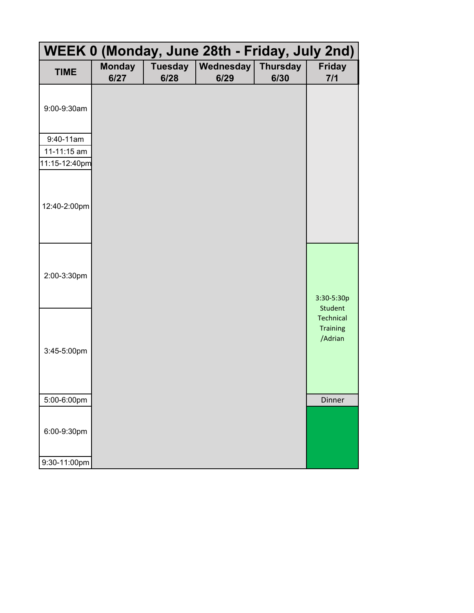| WEEK 0 (Monday, June 28th - Friday, July 2nd) |                       |                        |                          |                         |                                         |  |  |
|-----------------------------------------------|-----------------------|------------------------|--------------------------|-------------------------|-----------------------------------------|--|--|
| <b>TIME</b>                                   | <b>Monday</b><br>6/27 | <b>Tuesday</b><br>6/28 | <b>Wednesday</b><br>6/29 | <b>Thursday</b><br>6/30 | <b>Friday</b><br>7/1                    |  |  |
| 9:00-9:30am                                   |                       |                        |                          |                         |                                         |  |  |
| 9:40-11am                                     |                       |                        |                          |                         |                                         |  |  |
| 11-11:15 am                                   |                       |                        |                          |                         |                                         |  |  |
| 11:15-12:40pm                                 |                       |                        |                          |                         |                                         |  |  |
| 12:40-2:00pm                                  |                       |                        |                          |                         |                                         |  |  |
| 2:00-3:30pm                                   |                       |                        |                          |                         | 3:30-5:30p<br>Student                   |  |  |
| 3:45-5:00pm                                   |                       |                        |                          |                         | Technical<br><b>Training</b><br>/Adrian |  |  |
| 5:00-6:00pm                                   |                       |                        |                          |                         | Dinner                                  |  |  |
| 6:00-9:30pm                                   |                       |                        |                          |                         |                                         |  |  |
| 9:30-11:00pm                                  |                       |                        |                          |                         |                                         |  |  |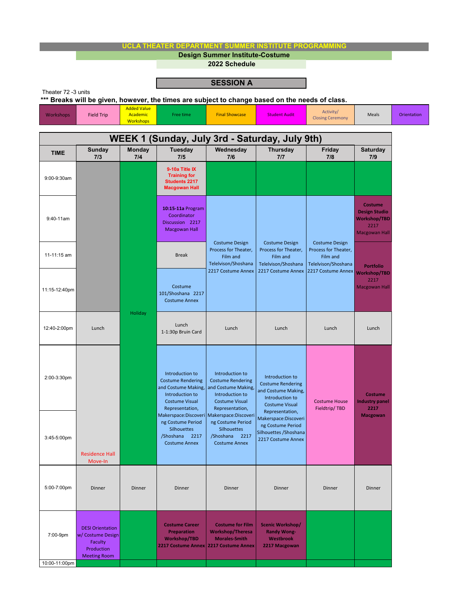| UCLA THEATER DEPARTMENT SUMMER INSTITUTE PROGRAMMING                                                                   |                                                                                              |                                                    |                                                                                                                                   |                                                                                                                                   |                                                                                                                                   |                                                                                                        |                                                                                               |             |
|------------------------------------------------------------------------------------------------------------------------|----------------------------------------------------------------------------------------------|----------------------------------------------------|-----------------------------------------------------------------------------------------------------------------------------------|-----------------------------------------------------------------------------------------------------------------------------------|-----------------------------------------------------------------------------------------------------------------------------------|--------------------------------------------------------------------------------------------------------|-----------------------------------------------------------------------------------------------|-------------|
|                                                                                                                        |                                                                                              |                                                    |                                                                                                                                   | <b>Design Summer Institute-Costume</b><br>2022 Schedule                                                                           |                                                                                                                                   |                                                                                                        |                                                                                               |             |
|                                                                                                                        |                                                                                              |                                                    |                                                                                                                                   |                                                                                                                                   |                                                                                                                                   |                                                                                                        |                                                                                               |             |
|                                                                                                                        |                                                                                              |                                                    |                                                                                                                                   | <b>SESSION A</b>                                                                                                                  |                                                                                                                                   |                                                                                                        |                                                                                               |             |
| Theater 72 -3 units<br>*** Breaks will be given, however, the times are subject to change based on the needs of class. |                                                                                              |                                                    |                                                                                                                                   |                                                                                                                                   |                                                                                                                                   |                                                                                                        |                                                                                               |             |
| Workshops                                                                                                              | <b>Field Trip</b>                                                                            | <b>Added Value</b><br>Academic<br><b>Workshops</b> | Free time                                                                                                                         | <b>Final Showcase</b>                                                                                                             | <b>Student Audit</b>                                                                                                              | Activity/<br><b>Closing Ceremony</b>                                                                   | Meals                                                                                         | Orientation |
| WEEK 1 (Sunday, July 3rd - Saturday, July 9th)                                                                         |                                                                                              |                                                    |                                                                                                                                   |                                                                                                                                   |                                                                                                                                   |                                                                                                        |                                                                                               |             |
| <b>TIME</b>                                                                                                            | <b>Sunday</b><br>7/3                                                                         | <b>Monday</b><br>7/4                               | Tuesday<br>7/5                                                                                                                    | Wednesday<br>7/6                                                                                                                  | <b>Thursday</b><br>7/7                                                                                                            | Friday<br>7/8                                                                                          | <b>Saturday</b><br>7/9                                                                        |             |
| 9:00-9:30am                                                                                                            |                                                                                              | Holiday                                            | 9-10a Title IX<br><b>Training for</b><br><b>Students 2217</b><br><b>Macgowan Hall</b>                                             |                                                                                                                                   |                                                                                                                                   |                                                                                                        |                                                                                               |             |
| 9:40-11am                                                                                                              |                                                                                              |                                                    | 10:15-11a Program<br>Coordinator<br>Discussion 2217<br><b>Macgowan Hall</b>                                                       | <b>Costume Design</b><br>Process for Theater,<br>Film and<br>Telelvison/Shoshana<br>2217 Costume Annex                            | <b>Costume Design</b><br>Process for Theater,<br>Film and<br>Telelvison/Shoshana<br>2217 Costume Annex                            | <b>Costume Design</b><br>Process for Theater,<br>Film and<br>Telelvison/Shoshana<br>2217 Costume Annex | <b>Costume</b><br><b>Design Studio</b><br><b>Workshop/TBD</b><br>2217<br><b>Macgowan Hall</b> |             |
| 11-11:15 am                                                                                                            |                                                                                              |                                                    | <b>Break</b>                                                                                                                      |                                                                                                                                   |                                                                                                                                   |                                                                                                        | <b>Portfolio</b>                                                                              |             |
| 11:15-12:40pm                                                                                                          |                                                                                              |                                                    | Costume<br>101/Shoshana 2217<br><b>Costume Annex</b>                                                                              |                                                                                                                                   |                                                                                                                                   |                                                                                                        | <b>Workshop/TBD</b><br>2217<br><b>Macgowan Hall</b>                                           |             |
| 12:40-2:00pm                                                                                                           | Lunch                                                                                        |                                                    | Lunch<br>1-1:30p Bruin Card                                                                                                       | Lunch                                                                                                                             | Lunch                                                                                                                             | Lunch                                                                                                  | Lunch                                                                                         |             |
| 2:00-3:30pm                                                                                                            |                                                                                              |                                                    | Introduction to<br><b>Costume Rendering</b><br>and Costume Making,<br>Introduction to<br><b>Costume Visual</b><br>Representation, | Introduction to<br><b>Costume Rendering</b><br>and Costume Making,<br>Introduction to<br><b>Costume Visual</b><br>Representation, | Introduction to<br><b>Costume Rendering</b><br>and Costume Making,<br>Introduction to<br><b>Costume Visual</b><br>Representation, | <b>Costume House</b><br>Fieldtrip/TBD                                                                  | <b>Costume</b><br><b>Industry panel</b><br>2217                                               |             |
| 3:45-5:00pm                                                                                                            | <b>Residence Hall</b><br>Move-In                                                             |                                                    | Makerspace:Discoveri<br>ng Costume Period<br>Silhouettes<br>/Shoshana<br>2217<br><b>Costume Annex</b>                             | Makerspace:Discoveri<br>ng Costume Period<br><b>Silhouettes</b><br>/Shoshana 2217<br><b>Costume Annex</b>                         | Makerspace:Discoveri<br>ng Costume Period<br>Silhouettes / Shoshana<br>2217 Costume Annex                                         |                                                                                                        | <b>Macgowan</b>                                                                               |             |
| 5:00-7:00pm                                                                                                            | Dinner                                                                                       | Dinner                                             | Dinner                                                                                                                            | Dinner                                                                                                                            | Dinner                                                                                                                            | Dinner                                                                                                 | Dinner                                                                                        |             |
| 7:00-9pm                                                                                                               | <b>DESI Orientation</b><br>w/ Costume Design<br>Faculty<br>Production<br><b>Meeting Room</b> |                                                    | <b>Costume Career</b><br><b>Preparation</b><br><b>Workshop/TBD</b>                                                                | <b>Costume for Film</b><br><b>Workshop/Theresa</b><br><b>Morales-Smith</b><br>2217 Costume Annex 2217 Costume Annex               | Scenic Workshop/<br><b>Randy Wong-</b><br>Westbrook<br>2217 Macgowan                                                              |                                                                                                        |                                                                                               |             |
| 10:00-11:00pm                                                                                                          |                                                                                              |                                                    |                                                                                                                                   |                                                                                                                                   |                                                                                                                                   |                                                                                                        |                                                                                               |             |